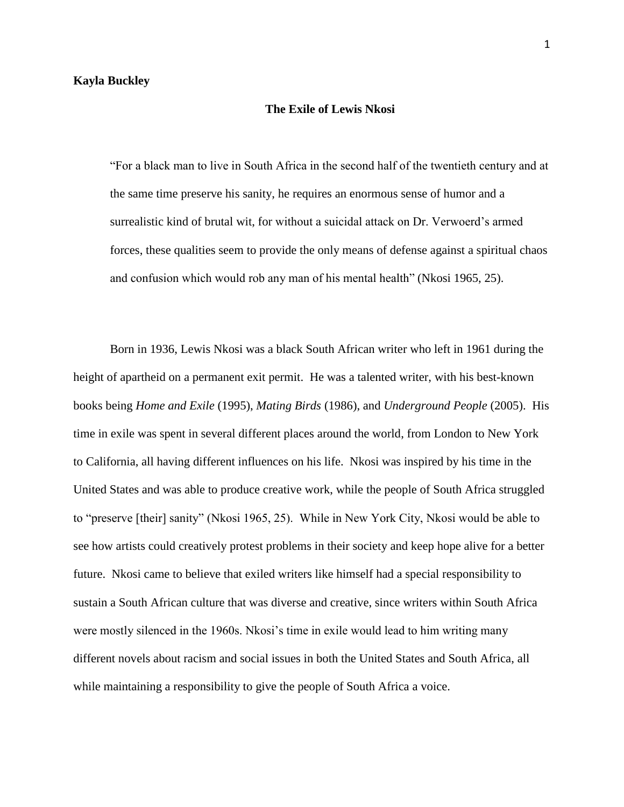## **The Exile of Lewis Nkosi**

"For a black man to live in South Africa in the second half of the twentieth century and at the same time preserve his sanity, he requires an enormous sense of humor and a surrealistic kind of brutal wit, for without a suicidal attack on Dr. Verwoerd's armed forces, these qualities seem to provide the only means of defense against a spiritual chaos and confusion which would rob any man of his mental health" (Nkosi 1965, 25).

Born in 1936, Lewis Nkosi was a black South African writer who left in 1961 during the height of apartheid on a permanent exit permit. He was a talented writer, with his best-known books being *Home and Exile* (1995), *Mating Birds* (1986), and *Underground People* (2005). His time in exile was spent in several different places around the world, from London to New York to California, all having different influences on his life. Nkosi was inspired by his time in the United States and was able to produce creative work, while the people of South Africa struggled to "preserve [their] sanity" (Nkosi 1965, 25). While in New York City, Nkosi would be able to see how artists could creatively protest problems in their society and keep hope alive for a better future. Nkosi came to believe that exiled writers like himself had a special responsibility to sustain a South African culture that was diverse and creative, since writers within South Africa were mostly silenced in the 1960s. Nkosi's time in exile would lead to him writing many different novels about racism and social issues in both the United States and South Africa, all while maintaining a responsibility to give the people of South Africa a voice.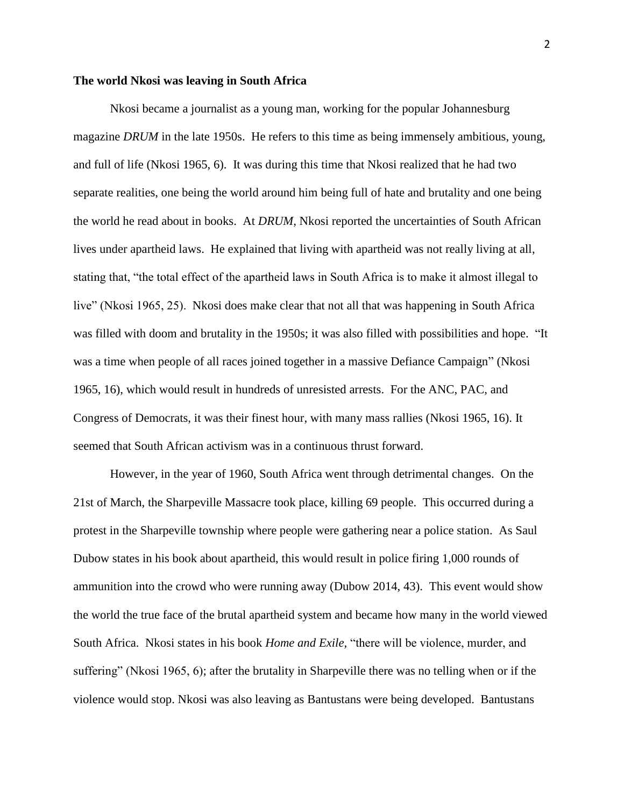## **The world Nkosi was leaving in South Africa**

Nkosi became a journalist as a young man, working for the popular Johannesburg magazine *DRUM* in the late 1950s. He refers to this time as being immensely ambitious, young, and full of life (Nkosi 1965, 6). It was during this time that Nkosi realized that he had two separate realities, one being the world around him being full of hate and brutality and one being the world he read about in books. At *DRUM*, Nkosi reported the uncertainties of South African lives under apartheid laws. He explained that living with apartheid was not really living at all, stating that, "the total effect of the apartheid laws in South Africa is to make it almost illegal to live" (Nkosi 1965, 25). Nkosi does make clear that not all that was happening in South Africa was filled with doom and brutality in the 1950s; it was also filled with possibilities and hope. "It was a time when people of all races joined together in a massive Defiance Campaign" (Nkosi 1965, 16), which would result in hundreds of unresisted arrests. For the ANC, PAC, and Congress of Democrats, it was their finest hour, with many mass rallies (Nkosi 1965, 16). It seemed that South African activism was in a continuous thrust forward.

However, in the year of 1960, South Africa went through detrimental changes. On the 21st of March, the Sharpeville Massacre took place, killing 69 people. This occurred during a protest in the Sharpeville township where people were gathering near a police station. As Saul Dubow states in his book about apartheid, this would result in police firing 1,000 rounds of ammunition into the crowd who were running away (Dubow 2014, 43). This event would show the world the true face of the brutal apartheid system and became how many in the world viewed South Africa. Nkosi states in his book *Home and Exile,* "there will be violence, murder, and suffering" (Nkosi 1965, 6); after the brutality in Sharpeville there was no telling when or if the violence would stop. Nkosi was also leaving as Bantustans were being developed. Bantustans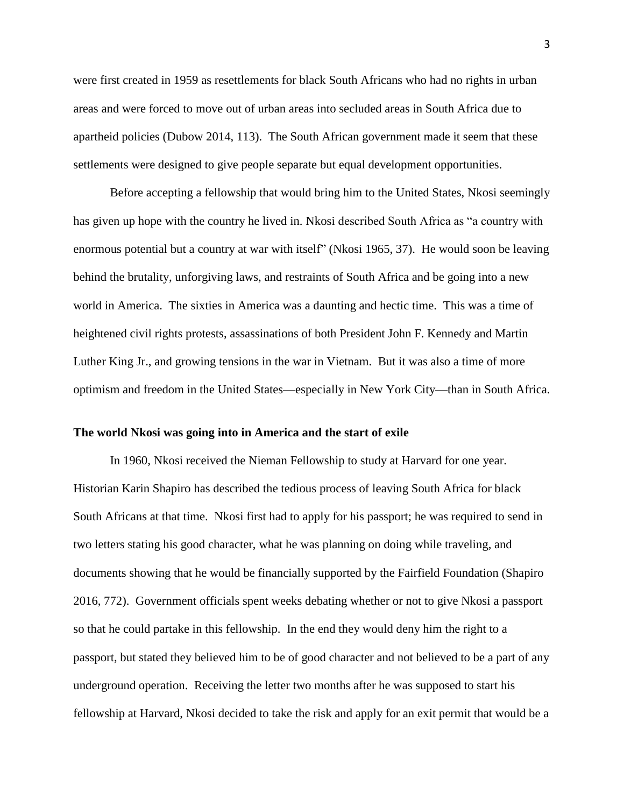were first created in 1959 as resettlements for black South Africans who had no rights in urban areas and were forced to move out of urban areas into secluded areas in South Africa due to apartheid policies (Dubow 2014, 113). The South African government made it seem that these settlements were designed to give people separate but equal development opportunities.

Before accepting a fellowship that would bring him to the United States, Nkosi seemingly has given up hope with the country he lived in. Nkosi described South Africa as "a country with enormous potential but a country at war with itself" (Nkosi 1965, 37). He would soon be leaving behind the brutality, unforgiving laws, and restraints of South Africa and be going into a new world in America. The sixties in America was a daunting and hectic time. This was a time of heightened civil rights protests, assassinations of both President John F. Kennedy and Martin Luther King Jr., and growing tensions in the war in Vietnam. But it was also a time of more optimism and freedom in the United States—especially in New York City—than in South Africa.

#### **The world Nkosi was going into in America and the start of exile**

In 1960, Nkosi received the Nieman Fellowship to study at Harvard for one year. Historian Karin Shapiro has described the tedious process of leaving South Africa for black South Africans at that time. Nkosi first had to apply for his passport; he was required to send in two letters stating his good character, what he was planning on doing while traveling, and documents showing that he would be financially supported by the Fairfield Foundation (Shapiro 2016, 772). Government officials spent weeks debating whether or not to give Nkosi a passport so that he could partake in this fellowship. In the end they would deny him the right to a passport, but stated they believed him to be of good character and not believed to be a part of any underground operation. Receiving the letter two months after he was supposed to start his fellowship at Harvard, Nkosi decided to take the risk and apply for an exit permit that would be a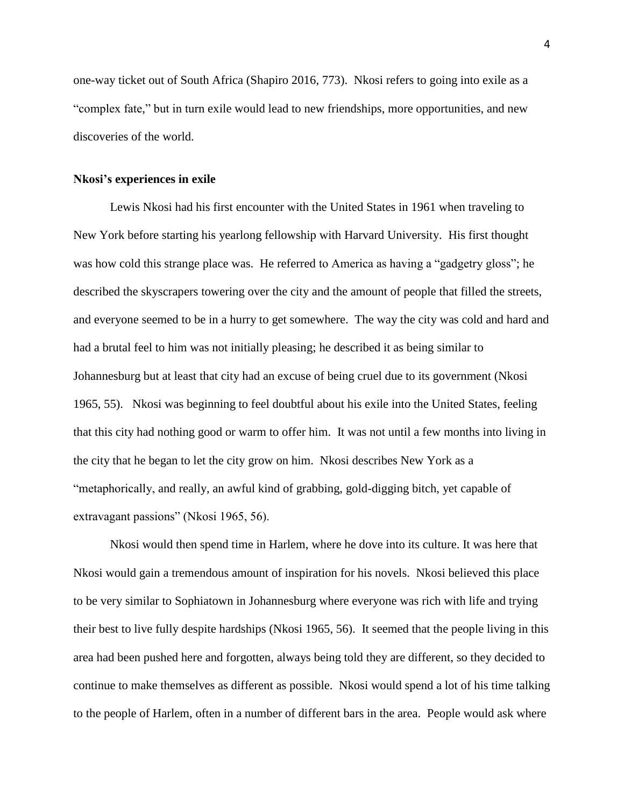one-way ticket out of South Africa (Shapiro 2016, 773). Nkosi refers to going into exile as a "complex fate," but in turn exile would lead to new friendships, more opportunities, and new discoveries of the world.

## **Nkosi's experiences in exile**

Lewis Nkosi had his first encounter with the United States in 1961 when traveling to New York before starting his yearlong fellowship with Harvard University. His first thought was how cold this strange place was. He referred to America as having a "gadgetry gloss"; he described the skyscrapers towering over the city and the amount of people that filled the streets, and everyone seemed to be in a hurry to get somewhere. The way the city was cold and hard and had a brutal feel to him was not initially pleasing; he described it as being similar to Johannesburg but at least that city had an excuse of being cruel due to its government (Nkosi 1965, 55). Nkosi was beginning to feel doubtful about his exile into the United States, feeling that this city had nothing good or warm to offer him. It was not until a few months into living in the city that he began to let the city grow on him. Nkosi describes New York as a "metaphorically, and really, an awful kind of grabbing, gold-digging bitch, yet capable of extravagant passions" (Nkosi 1965, 56).

Nkosi would then spend time in Harlem, where he dove into its culture. It was here that Nkosi would gain a tremendous amount of inspiration for his novels. Nkosi believed this place to be very similar to Sophiatown in Johannesburg where everyone was rich with life and trying their best to live fully despite hardships (Nkosi 1965, 56). It seemed that the people living in this area had been pushed here and forgotten, always being told they are different, so they decided to continue to make themselves as different as possible. Nkosi would spend a lot of his time talking to the people of Harlem, often in a number of different bars in the area. People would ask where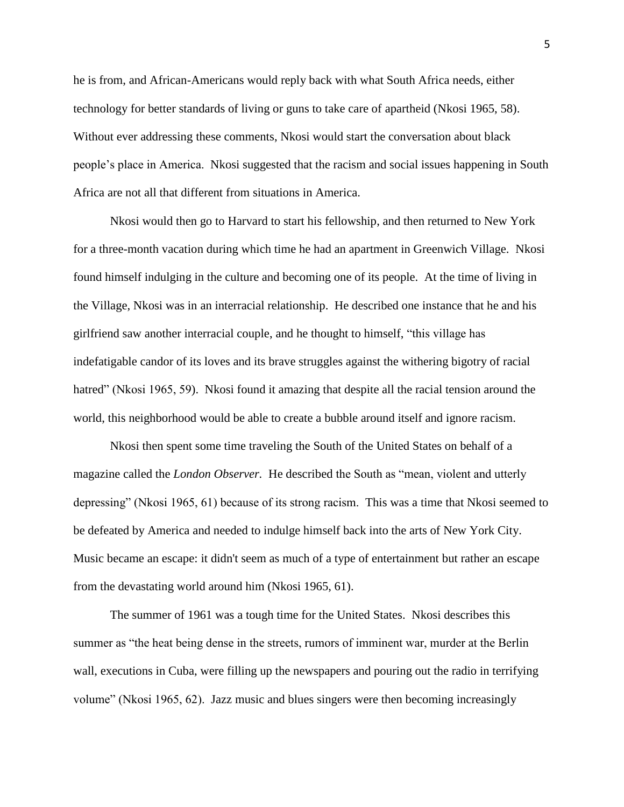he is from, and African-Americans would reply back with what South Africa needs, either technology for better standards of living or guns to take care of apartheid (Nkosi 1965, 58). Without ever addressing these comments, Nkosi would start the conversation about black people's place in America. Nkosi suggested that the racism and social issues happening in South Africa are not all that different from situations in America.

Nkosi would then go to Harvard to start his fellowship, and then returned to New York for a three-month vacation during which time he had an apartment in Greenwich Village. Nkosi found himself indulging in the culture and becoming one of its people. At the time of living in the Village, Nkosi was in an interracial relationship. He described one instance that he and his girlfriend saw another interracial couple, and he thought to himself, "this village has indefatigable candor of its loves and its brave struggles against the withering bigotry of racial hatred" (Nkosi 1965, 59). Nkosi found it amazing that despite all the racial tension around the world, this neighborhood would be able to create a bubble around itself and ignore racism.

Nkosi then spent some time traveling the South of the United States on behalf of a magazine called the *London Observer.* He described the South as "mean, violent and utterly depressing" (Nkosi 1965, 61) because of its strong racism. This was a time that Nkosi seemed to be defeated by America and needed to indulge himself back into the arts of New York City. Music became an escape: it didn't seem as much of a type of entertainment but rather an escape from the devastating world around him (Nkosi 1965, 61).

The summer of 1961 was a tough time for the United States. Nkosi describes this summer as "the heat being dense in the streets, rumors of imminent war, murder at the Berlin wall, executions in Cuba, were filling up the newspapers and pouring out the radio in terrifying volume" (Nkosi 1965, 62). Jazz music and blues singers were then becoming increasingly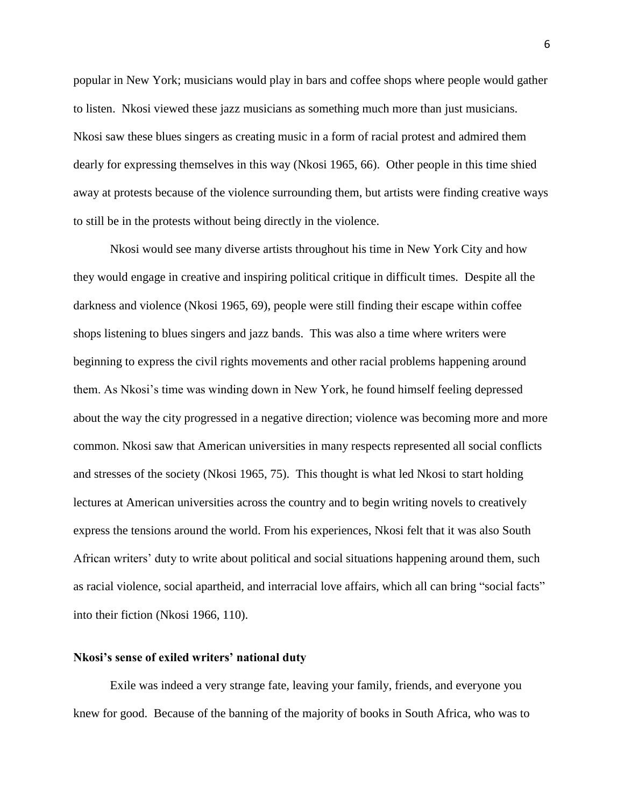popular in New York; musicians would play in bars and coffee shops where people would gather to listen. Nkosi viewed these jazz musicians as something much more than just musicians. Nkosi saw these blues singers as creating music in a form of racial protest and admired them dearly for expressing themselves in this way (Nkosi 1965, 66). Other people in this time shied away at protests because of the violence surrounding them, but artists were finding creative ways to still be in the protests without being directly in the violence.

Nkosi would see many diverse artists throughout his time in New York City and how they would engage in creative and inspiring political critique in difficult times. Despite all the darkness and violence (Nkosi 1965, 69), people were still finding their escape within coffee shops listening to blues singers and jazz bands. This was also a time where writers were beginning to express the civil rights movements and other racial problems happening around them. As Nkosi's time was winding down in New York, he found himself feeling depressed about the way the city progressed in a negative direction; violence was becoming more and more common. Nkosi saw that American universities in many respects represented all social conflicts and stresses of the society (Nkosi 1965, 75). This thought is what led Nkosi to start holding lectures at American universities across the country and to begin writing novels to creatively express the tensions around the world. From his experiences, Nkosi felt that it was also South African writers' duty to write about political and social situations happening around them, such as racial violence, social apartheid, and interracial love affairs, which all can bring "social facts" into their fiction (Nkosi 1966, 110).

#### **Nkosi's sense of exiled writers' national duty**

Exile was indeed a very strange fate, leaving your family, friends, and everyone you knew for good. Because of the banning of the majority of books in South Africa, who was to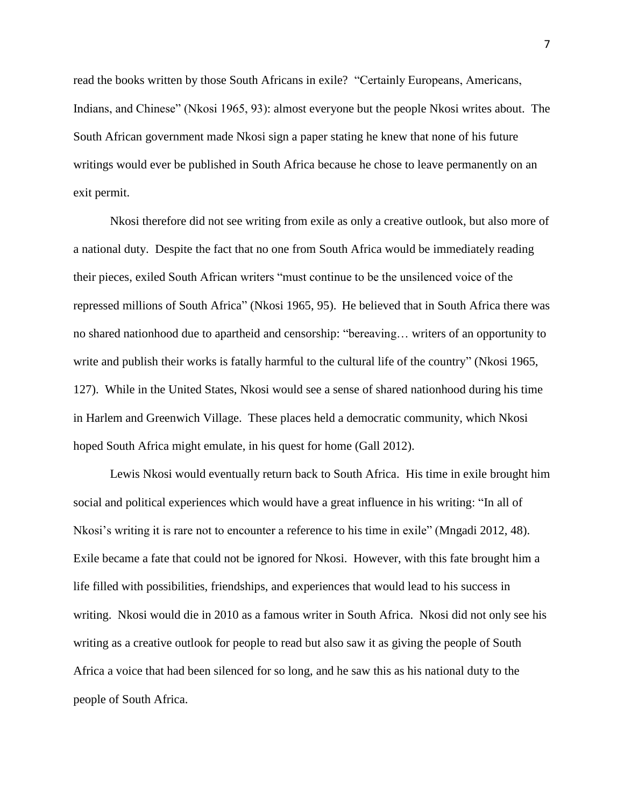read the books written by those South Africans in exile? "Certainly Europeans, Americans, Indians, and Chinese" (Nkosi 1965, 93): almost everyone but the people Nkosi writes about. The South African government made Nkosi sign a paper stating he knew that none of his future writings would ever be published in South Africa because he chose to leave permanently on an exit permit.

Nkosi therefore did not see writing from exile as only a creative outlook, but also more of a national duty. Despite the fact that no one from South Africa would be immediately reading their pieces, exiled South African writers "must continue to be the unsilenced voice of the repressed millions of South Africa" (Nkosi 1965, 95). He believed that in South Africa there was no shared nationhood due to apartheid and censorship: "bereaving… writers of an opportunity to write and publish their works is fatally harmful to the cultural life of the country" (Nkosi 1965, 127). While in the United States, Nkosi would see a sense of shared nationhood during his time in Harlem and Greenwich Village. These places held a democratic community, which Nkosi hoped South Africa might emulate, in his quest for home (Gall 2012).

Lewis Nkosi would eventually return back to South Africa. His time in exile brought him social and political experiences which would have a great influence in his writing: "In all of Nkosi's writing it is rare not to encounter a reference to his time in exile" (Mngadi 2012, 48). Exile became a fate that could not be ignored for Nkosi. However, with this fate brought him a life filled with possibilities, friendships, and experiences that would lead to his success in writing. Nkosi would die in 2010 as a famous writer in South Africa. Nkosi did not only see his writing as a creative outlook for people to read but also saw it as giving the people of South Africa a voice that had been silenced for so long, and he saw this as his national duty to the people of South Africa.